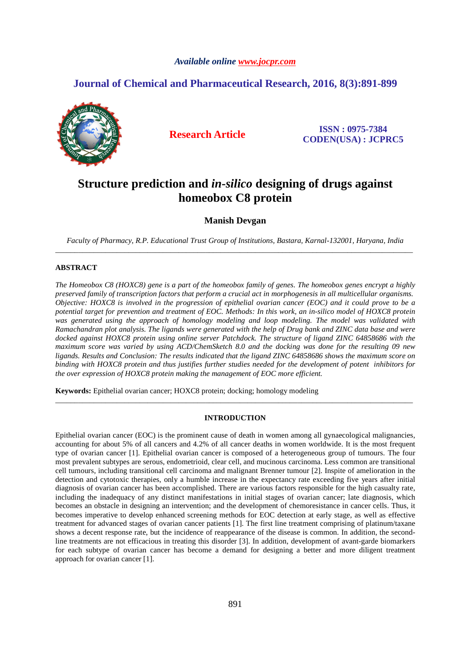# *Available online www.jocpr.com*

# **Journal of Chemical and Pharmaceutical Research, 2016, 8(3):891-899**



**Research Article ISSN : 0975-7384 CODEN(USA) : JCPRC5**

# **Structure prediction and** *in-silico* **designing of drugs against homeobox C8 protein**

**Manish Devgan** 

*Faculty of Pharmacy, R.P. Educational Trust Group of Institutions, Bastara, Karnal-132001, Haryana, India*  \_\_\_\_\_\_\_\_\_\_\_\_\_\_\_\_\_\_\_\_\_\_\_\_\_\_\_\_\_\_\_\_\_\_\_\_\_\_\_\_\_\_\_\_\_\_\_\_\_\_\_\_\_\_\_\_\_\_\_\_\_\_\_\_\_\_\_\_\_\_\_\_\_\_\_\_\_\_\_\_\_\_\_\_\_\_\_\_\_\_\_\_\_

### **ABSTRACT**

*The Homeobox C8 (HOXC8) gene is a part of the homeobox family of genes. The homeobox genes encrypt a highly preserved family of transcription factors that perform a crucial act in morphogenesis in all multicellular organisms. Objective: HOXC8 is involved in the progression of epithelial ovarian cancer (EOC) and it could prove to be a potential target for prevention and treatment of EOC. Methods: In this work, an in-silico model of HOXC8 protein was generated using the approach of homology modeling and loop modeling. The model was validated with Ramachandran plot analysis. The ligands were generated with the help of Drug bank and ZINC data base and were docked against HOXC8 protein using online server Patchdock. The structure of ligand ZINC 64858686 with the maximum score was varied by using ACD/ChemSketch 8.0 and the docking was done for the resulting 09 new ligands. Results and Conclusion: The results indicated that the ligand ZINC 64858686 shows the maximum score on binding with HOXC8 protein and thus justifies further studies needed for the development of potent inhibitors for the over expression of HOXC8 protein making the management of EOC more efficient.* 

**Keywords:** Epithelial ovarian cancer; HOXC8 protein; docking; homology modeling

#### **INTRODUCTION**

\_\_\_\_\_\_\_\_\_\_\_\_\_\_\_\_\_\_\_\_\_\_\_\_\_\_\_\_\_\_\_\_\_\_\_\_\_\_\_\_\_\_\_\_\_\_\_\_\_\_\_\_\_\_\_\_\_\_\_\_\_\_\_\_\_\_\_\_\_\_\_\_\_\_\_\_\_\_\_\_\_\_\_\_\_\_\_\_\_\_\_\_\_

Epithelial ovarian cancer (EOC) is the prominent cause of death in women among all gynaecological malignancies, accounting for about 5% of all cancers and 4.2% of all cancer deaths in women worldwide. It is the most frequent type of ovarian cancer [1]. Epithelial ovarian cancer is composed of a heterogeneous group of tumours. The four most prevalent subtypes are serous, endometrioid, clear cell, and mucinous carcinoma. Less common are transitional cell tumours, including transitional cell carcinoma and malignant Brenner tumour [2]. Inspite of amelioration in the detection and cytotoxic therapies, only a humble increase in the expectancy rate exceeding five years after initial diagnosis of ovarian cancer has been accomplished. There are various factors responsible for the high casualty rate, including the inadequacy of any distinct manifestations in initial stages of ovarian cancer; late diagnosis, which becomes an obstacle in designing an intervention; and the development of chemoresistance in cancer cells. Thus, it becomes imperative to develop enhanced screening methods for EOC detection at early stage, as well as effective treatment for advanced stages of ovarian cancer patients [1]. The first line treatment comprising of platinum/taxane shows a decent response rate, but the incidence of reappearance of the disease is common. In addition, the secondline treatments are not efficacious in treating this disorder [3]. In addition, development of avant-garde biomarkers for each subtype of ovarian cancer has become a demand for designing a better and more diligent treatment approach for ovarian cancer [1].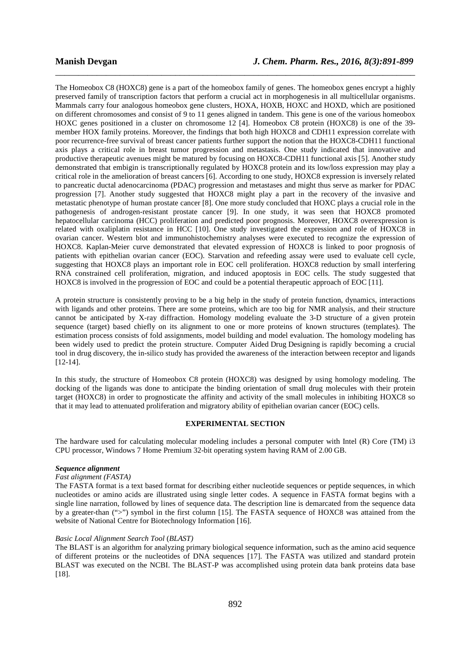The Homeobox C8 (HOXC8) gene is a part of the homeobox family of genes. The homeobox genes encrypt a highly preserved family of transcription factors that perform a crucial act in morphogenesis in all multicellular organisms. Mammals carry four analogous homeobox gene clusters, HOXA, HOXB, HOXC and HOXD, which are positioned on different chromosomes and consist of 9 to 11 genes aligned in tandem. This gene is one of the various homeobox HOXC genes positioned in a cluster on chromosome 12 [4]. Homeobox C8 protein (HOXC8) is one of the 39 member HOX family proteins. Moreover, the findings that both high HOXC8 and CDH11 expression correlate with poor recurrence-free survival of breast cancer patients further support the notion that the HOXC8-CDH11 functional axis plays a critical role in breast tumor progression and metastasis. One study indicated that innovative and productive therapeutic avenues might be matured by focusing on HOXC8-CDH11 functional axis [5]. Another study demonstrated that embigin is transcriptionally regulated by HOXC8 protein and its low/loss expression may play a critical role in the amelioration of breast cancers [6]. According to one study, HOXC8 expression is inversely related to pancreatic ductal adenocarcinoma (PDAC) progression and metastases and might thus serve as marker for PDAC progression [7]. Another study suggested that HOXC8 might play a part in the recovery of the invasive and metastatic phenotype of human prostate cancer [8]. One more study concluded that HOXC plays a crucial role in the pathogenesis of androgen-resistant prostate cancer [9]. In one study, it was seen that HOXC8 promoted hepatocellular carcinoma (HCC) proliferation and predicted poor prognosis. Moreover, HOXC8 overexpression is related with oxaliplatin resistance in HCC [10]. One study investigated the expression and role of HOXC8 in ovarian cancer. Western blot and immunohistochemistry analyses were executed to recognize the expression of HOXC8. Kaplan-Meier curve demonstrated that elevated expression of HOXC8 is linked to poor prognosis of patients with epithelian ovarian cancer (EOC). Starvation and refeeding assay were used to evaluate cell cycle, suggesting that HOXC8 plays an important role in EOC cell proliferation. HOXC8 reduction by small interfering RNA constrained cell proliferation, migration, and induced apoptosis in EOC cells. The study suggested that HOXC8 is involved in the progression of EOC and could be a potential therapeutic approach of EOC [11].

\_\_\_\_\_\_\_\_\_\_\_\_\_\_\_\_\_\_\_\_\_\_\_\_\_\_\_\_\_\_\_\_\_\_\_\_\_\_\_\_\_\_\_\_\_\_\_\_\_\_\_\_\_\_\_\_\_\_\_\_\_\_\_\_\_\_\_\_\_\_\_\_\_\_\_\_\_\_

A protein structure is consistently proving to be a big help in the study of protein function, dynamics, interactions with ligands and other proteins. There are some proteins, which are too big for NMR analysis, and their structure cannot be anticipated by X-ray diffraction. Homology modeling evaluate the 3-D structure of a given protein sequence (target) based chiefly on its alignment to one or more proteins of known structures (templates). The estimation process consists of fold assignments, model building and model evaluation. The homology modeling has been widely used to predict the protein structure. Computer Aided Drug Designing is rapidly becoming a crucial tool in drug discovery, the in-silico study has provided the awareness of the interaction between receptor and ligands [12-14].

In this study, the structure of Homeobox C8 protein (HOXC8) was designed by using homology modeling. The docking of the ligands was done to anticipate the binding orientation of small drug molecules with their protein target (HOXC8) in order to prognosticate the affinity and activity of the small molecules in inhibiting HOXC8 so that it may lead to attenuated proliferation and migratory ability of epithelian ovarian cancer (EOC) cells.

# **EXPERIMENTAL SECTION**

The hardware used for calculating molecular modeling includes a personal computer with Intel (R) Core (TM) i3 CPU processor, Windows 7 Home Premium 32-bit operating system having RAM of 2.00 GB.

# *Sequence alignment*

# *Fast alignment (FASTA)*

The FASTA format is a text based format for describing either nucleotide sequences or peptide sequences, in which nucleotides or amino acids are illustrated using single letter codes. A sequence in FASTA format begins with a single line narration, followed by lines of sequence data. The description line is demarcated from the sequence data by a greater-than (">") symbol in the first column [15]. The FASTA sequence of HOXC8 was attained from the website of National Centre for Biotechnology Information [16].

#### *Basic Local Alignment Search Tool* (*BLAST)*

The BLAST is an algorithm for analyzing primary biological sequence information, such as the amino acid sequence of different proteins or the nucleotides of DNA sequences [17]. The FASTA was utilized and standard protein BLAST was executed on the NCBI. The BLAST-P was accomplished using protein data bank proteins data base [18].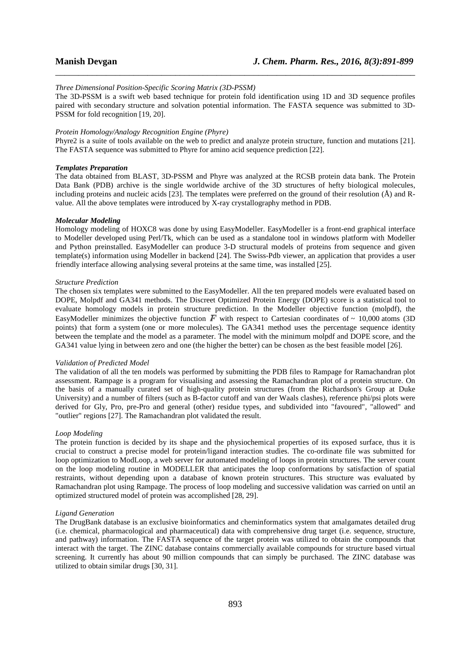#### *Three Dimensional Position-Specific Scoring Matrix (3D-PSSM)*

The 3D-PSSM is a swift web based technique for protein fold identification using 1D and 3D sequence profiles paired with secondary structure and solvation potential information. The FASTA sequence was submitted to 3D-PSSM for fold recognition [19, 20].

\_\_\_\_\_\_\_\_\_\_\_\_\_\_\_\_\_\_\_\_\_\_\_\_\_\_\_\_\_\_\_\_\_\_\_\_\_\_\_\_\_\_\_\_\_\_\_\_\_\_\_\_\_\_\_\_\_\_\_\_\_\_\_\_\_\_\_\_\_\_\_\_\_\_\_\_\_\_

#### *Protein Homology/Analogy Recognition Engine (Phyre)*

Phyre2 is a suite of tools available on the web to predict and analyze protein structure, function and mutations [21]. The FASTA sequence was submitted to Phyre for amino acid sequence prediction [22].

# *Templates Preparation*

The data obtained from BLAST, 3D-PSSM and Phyre was analyzed at the RCSB protein data bank. The Protein Data Bank (PDB) archive is the single worldwide archive of the 3D structures of hefty biological molecules, including proteins and nucleic acids [23]. The templates were preferred on the ground of their resolution (Å) and Rvalue. All the above templates were introduced by X-ray crystallography method in PDB.

#### *Molecular Modeling*

Homology modeling of HOXC8 was done by using EasyModeller. EasyModeller is a front-end graphical interface to Modeller developed using Perl/Tk, which can be used as a standalone tool in windows platform with Modeller and Python preinstalled. EasyModeller can produce 3-D structural models of proteins from sequence and given template(s) information using Modeller in backend [24]. The Swiss-Pdb viewer, an application that provides a user friendly interface allowing analysing several proteins at the same time, was installed [25].

# *Structure Prediction*

The chosen six templates were submitted to the EasyModeller. All the ten prepared models were evaluated based on DOPE, Molpdf and GA341 methods. The Discreet Optimized Protein Energy (DOPE) score is a statistical tool to evaluate homology models in protein structure prediction. In the Modeller objective function (molpdf), the EasyModeller minimizes the objective function  $\vec{F}$  with respect to Cartesian coordinates of ~ 10,000 atoms (3D) points) that form a system (one or more molecules). The GA341 method uses the percentage sequence identity between the template and the model as a parameter. The model with the minimum molpdf and DOPE score, and the GA341 value lying in between zero and one (the higher the better) can be chosen as the best feasible model [26].

#### *Validation of Predicted Model*

The validation of all the ten models was performed by submitting the PDB files to Rampage for Ramachandran plot assessment. Rampage is a program for visualising and assessing the Ramachandran plot of a protein structure. On the basis of a manually curated set of high-quality protein structures (from the Richardson's Group at Duke University) and a number of filters (such as B-factor cutoff and van der Waals clashes), reference phi/psi plots were derived for Gly, Pro, pre-Pro and general (other) residue types, and subdivided into "favoured", "allowed" and "outlier" regions [27]. The Ramachandran plot validated the result.

#### *Loop Modeling*

The protein function is decided by its shape and the physiochemical properties of its exposed surface, thus it is crucial to construct a precise model for protein/ligand interaction studies. The co-ordinate file was submitted for loop optimization to ModLoop, a web server for automated modeling of loops in protein structures. The server count on the loop modeling routine in MODELLER that anticipates the loop conformations by satisfaction of spatial restraints, without depending upon a database of known protein structures. This structure was evaluated by Ramachandran plot using Rampage. The process of loop modeling and successive validation was carried on until an optimized structured model of protein was accomplished [28, 29].

#### *Ligand Generation*

The DrugBank database is an exclusive bioinformatics and cheminformatics system that amalgamates detailed drug (i.e. chemical, pharmacological and pharmaceutical) data with comprehensive drug target (i.e. sequence, structure, and pathway) information. The FASTA sequence of the target protein was utilized to obtain the compounds that interact with the target. The ZINC database contains commercially available compounds for structure based virtual screening. It currently has about 90 million compounds that can simply be purchased. The ZINC database was utilized to obtain similar drugs [30, 31].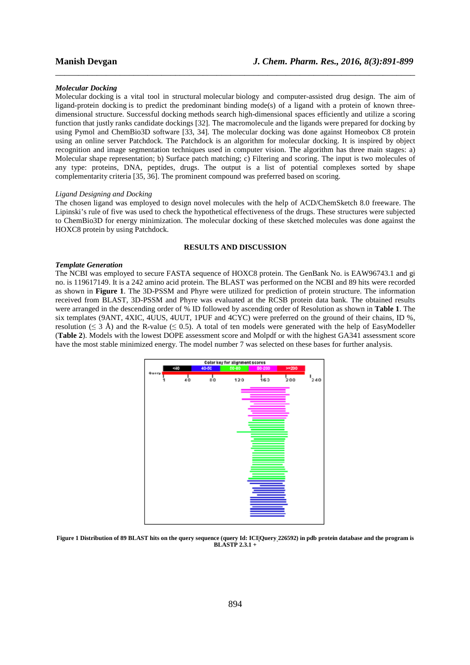#### *Molecular Docking*

Molecular docking is a vital tool in structural molecular biology and computer-assisted drug design. The aim of ligand-protein docking is to predict the predominant binding mode(s) of a ligand with a protein of known threedimensional structure. Successful docking methods search high-dimensional spaces efficiently and utilize a scoring function that justly ranks candidate dockings [32]. The macromolecule and the ligands were prepared for docking by using Pymol and ChemBio3D software [33, 34]. The molecular docking was done against Homeobox C8 protein using an online server Patchdock. The Patchdock is an algorithm for molecular docking. It is inspired by object recognition and image segmentation techniques used in computer vision. The algorithm has three main stages: a) Molecular shape representation; b) Surface patch matching; c) Filtering and scoring. The input is two molecules of any type: proteins, DNA, peptides, drugs. The output is a list of potential complexes sorted by shape complementarity criteria [35, 36]. The prominent compound was preferred based on scoring.

\_\_\_\_\_\_\_\_\_\_\_\_\_\_\_\_\_\_\_\_\_\_\_\_\_\_\_\_\_\_\_\_\_\_\_\_\_\_\_\_\_\_\_\_\_\_\_\_\_\_\_\_\_\_\_\_\_\_\_\_\_\_\_\_\_\_\_\_\_\_\_\_\_\_\_\_\_\_

#### *Ligand Designing and Docking*

The chosen ligand was employed to design novel molecules with the help of ACD/ChemSketch 8.0 freeware. The Lipinski's rule of five was used to check the hypothetical effectiveness of the drugs. These structures were subjected to ChemBio3D for energy minimization. The molecular docking of these sketched molecules was done against the HOXC8 protein by using Patchdock.

# **RESULTS AND DISCUSSION**

#### *Template Generation*

The NCBI was employed to secure FASTA sequence of HOXC8 protein. The GenBank No. is EAW96743.1 and gi no. is 119617149. It is a 242 amino acid protein. The BLAST was performed on the NCBI and 89 hits were recorded as shown in **Figure 1**. The 3D-PSSM and Phyre were utilized for prediction of protein structure. The information received from BLAST, 3D-PSSM and Phyre was evaluated at the RCSB protein data bank. The obtained results were arranged in the descending order of % ID followed by ascending order of Resolution as shown in **Table 1**. The six templates (9ANT, 4XIC, 4UUS, 4UUT, 1PUF and 4CYC) were preferred on the ground of their chains, ID %, resolution ( $\leq 3$  Å) and the R-value ( $\leq 0.5$ ). A total of ten models were generated with the help of EasyModeller (**Table 2**). Models with the lowest DOPE assessment score and Molpdf or with the highest GA341 assessment score have the most stable minimized energy. The model number 7 was selected on these bases for further analysis.



**Figure 1 Distribution of 89 BLAST hits on the query sequence (query Id: ICI|Query 226592) in pdb protein database and the program is BLASTP 2.3.1 +**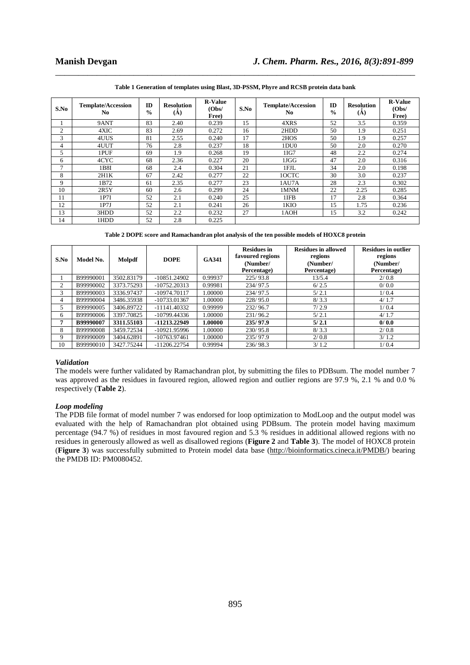| S.No           | <b>Template/Accession</b><br>N <sub>0</sub> | ID<br>$\frac{0}{0}$ | <b>Resolution</b><br>(A) | <b>R-Value</b><br>(Obs/<br>Free) | S.No | <b>Template/Accession</b><br>N <sub>0</sub> | ID<br>$\frac{0}{0}$ | <b>Resolution</b><br>(Å) | <b>R-Value</b><br>(Obs/<br>Free) |
|----------------|---------------------------------------------|---------------------|--------------------------|----------------------------------|------|---------------------------------------------|---------------------|--------------------------|----------------------------------|
|                | 9ANT                                        | 83                  | 2.40                     | 0.239                            | 15   | 4XRS                                        | 52                  | 3.5                      | 0.359                            |
| $\overline{c}$ | 4XIC                                        | 83                  | 2.69                     | 0.272                            | 16   | 2HDD                                        | 50                  | 1.9                      | 0.251                            |
| 3              | 4UUS                                        | 81                  | 2.55                     | 0.240                            | 17   | 2HOS                                        | 50                  | 1.9                      | 0.257                            |
| 4              | 4UUT                                        | 76                  | 2.8                      | 0.237                            | 18   | 1DU0                                        | 50                  | 2.0                      | 0.270                            |
| 5              | 1PUF                                        | 69                  | 1.9                      | 0.268                            | 19   | 1IG7                                        | 48                  | 2.2                      | 0.274                            |
| 6              | 4CYC                                        | 68                  | 2.36                     | 0.227                            | 20   | 1JGG                                        | 47                  | 2.0                      | 0.316                            |
| 7              | 1B8I                                        | 68                  | 2.4                      | 0.304                            | 21   | 1FJL                                        | 34                  | 2.0                      | 0.198                            |
| 8              | 2H1K                                        | 67                  | 2.42                     | 0.277                            | 22   | 10CTC                                       | 30                  | 3.0                      | 0.237                            |
| 9              | 1B72                                        | 61                  | 2.35                     | 0.277                            | 23   | 1AU7A                                       | 28                  | 2.3                      | 0.302                            |
| 10             | 2R5Y                                        | 60                  | 2.6                      | 0.299                            | 24   | 1MNM                                        | 22                  | 2.25                     | 0.285                            |
| 11             | 1P7I                                        | 52                  | 2.1                      | 0.240                            | 25   | 1IFB                                        | 17                  | 2.8                      | 0.364                            |
| 12             | 1P7J                                        | 52                  | 2.1                      | 0.241                            | 26   | 1KIO                                        | 15                  | 1.75                     | 0.236                            |
| 13             | 3HDD                                        | 52                  | 2.2                      | 0.232                            | 27   | 1AOH                                        | 15                  | 3.2                      | 0.242                            |
| 14             | 1HDD                                        | 52                  | 2.8                      | 0.225                            |      |                                             |                     |                          |                                  |

\_\_\_\_\_\_\_\_\_\_\_\_\_\_\_\_\_\_\_\_\_\_\_\_\_\_\_\_\_\_\_\_\_\_\_\_\_\_\_\_\_\_\_\_\_\_\_\_\_\_\_\_\_\_\_\_\_\_\_\_\_\_\_\_\_\_\_\_\_\_\_\_\_\_\_\_\_\_ **Table 1 Generation of templates using Blast, 3D-PSSM, Phyre and RCSB protein data bank** 

**Table 2 DOPE score and Ramachandran plot analysis of the ten possible models of HOXC8 protein** 

| S.No | Model No. | Molpdf     | <b>DOPE</b>    | <b>GA341</b> | <b>Residues in</b><br>favoured regions<br>(Number/<br>Percentage) | <b>Residues in allowed</b><br>regions<br>(Number/<br>Percentage) | <b>Residues in outlier</b><br>regions<br>(Number/<br>Percentage) |
|------|-----------|------------|----------------|--------------|-------------------------------------------------------------------|------------------------------------------------------------------|------------------------------------------------------------------|
|      | B99990001 | 3502.83179 | $-10851.24902$ | 0.99937      | 225/93.8                                                          | 13/5.4                                                           | 2/0.8                                                            |
| 2    | B99990002 | 3373.75293 | $-10752.20313$ | 0.99981      | 234/97.5                                                          | 6/2.5                                                            | 0/0.0                                                            |
| 3    | B99990003 | 3336.97437 | -10974.70117   | .00000       | 234/97.5                                                          | 5/2.1                                                            | 1/0.4                                                            |
| 4    | B99990004 | 3486.35938 | -10733.01367   | 1.00000      | 228/95.0                                                          | 8/3.3                                                            | 4/1.7                                                            |
|      | B99990005 | 3406.89722 | $-11141.40332$ | 0.99999      | 232/96.7                                                          | 7/2.9                                                            | 1/0.4                                                            |
| 6    | B99990006 | 3397.70825 | -10799.44336   | 00000.1      | 231/96.2                                                          | 5/2.1                                                            | 4/1.7                                                            |
| 7    | B99990007 | 3311.55103 | -11213.22949   | 1.00000      | 235/97.9                                                          | 5/2.1                                                            | 0/0.0                                                            |
| 8    | B99990008 | 3459.72534 | -10921.95996   | 00000.1      | 230/95.8                                                          | 8/3.3                                                            | 2/0.8                                                            |
| 9    | B99990009 | 3404.62891 | $-10763.97461$ | 1.00000      | 235/97.9                                                          | 2/0.8                                                            | 3/1.2                                                            |
| 10   | B99990010 | 3427.75244 | $-11206.22754$ | 0.99994      | 236/98.3                                                          | 3/1.2                                                            | 1/0.4                                                            |

#### *Validation*

The models were further validated by Ramachandran plot, by submitting the files to PDBsum. The model number 7 was approved as the residues in favoured region, allowed region and outlier regions are 97.9 %, 2.1 % and 0.0 % respectively (**Table 2**).

### *Loop modeling*

The PDB file format of model number 7 was endorsed for loop optimization to ModLoop and the output model was evaluated with the help of Ramachandran plot obtained using PDBsum. The protein model having maximum percentage (94.7 %) of residues in most favoured region and 5.3 % residues in additional allowed regions with no residues in generously allowed as well as disallowed regions (**Figure 2** and **Table 3**). The model of HOXC8 protein (**Figure 3**) was successfully submitted to Protein model data base (http://bioinformatics.cineca.it/PMDB/) bearing the PMDB ID: PM0080452.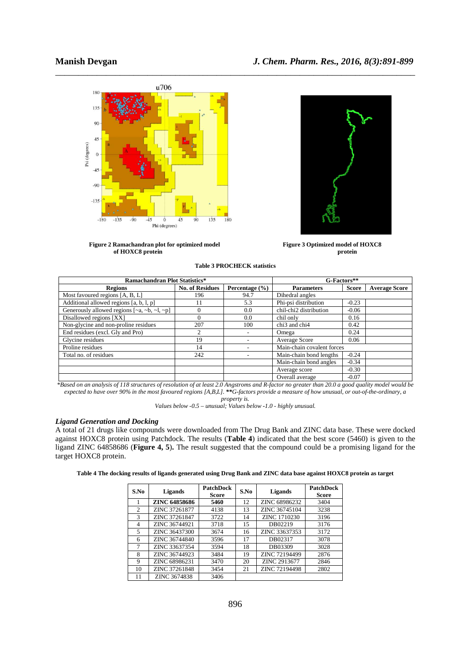

Figure 2 Ramachandran plot for optimized model Figure 3 Optimized model of HOXC8 **of HOXC8 protein protein** 

| <b>Table 3 PROCHECK statistics</b> |
|------------------------------------|
|------------------------------------|

| <b>Ramachandran Plot Statistics*</b>          | G-Factors**            |                    |                            |         |                      |
|-----------------------------------------------|------------------------|--------------------|----------------------------|---------|----------------------|
| <b>Regions</b>                                | <b>No. of Residues</b> | Percentage $(\% )$ | <b>Parameters</b>          | Score   | <b>Average Score</b> |
| Most favoured regions [A, B, L]               | 196                    | 94.7               | Dihedral angles            |         |                      |
| Additional allowed regions [a, b, l, p]       | 11                     | 5.3                | Phi-psi distribution       | $-0.23$ |                      |
| Generously allowed regions $[-a, -b, -1, -p]$ |                        | 0.0                | chil-chi2 distribution     | $-0.06$ |                      |
| Disallowed regions [XX]                       | 0                      | 0.0                | chil only                  | 0.16    |                      |
| Non-glycine and non-proline residues          | 207                    | 100                | chi3 and chi4              | 0.42    |                      |
| End residues (excl. Gly and Pro)              |                        | -                  | Omega                      | 0.24    |                      |
| Glycine residues                              | 19                     |                    | Average Score              | 0.06    |                      |
| Proline residues                              | 14                     |                    | Main-chain covalent forces |         |                      |
| Total no. of residues                         | 242                    |                    | Main-chain bond lengths    | $-0.24$ |                      |
|                                               |                        |                    | Main-chain bond angles     | $-0.34$ |                      |
|                                               |                        |                    | Average score              | $-0.30$ |                      |
|                                               |                        |                    | Overall average            | $-0.07$ |                      |

*\*Based on an analysis of 118 structures of resolution of at least 2.0 Angstroms and R-factor no greater than 20.0 a good quality model would be expected to have over 90% in the most favoured regions [A,B,L]. \*\*G-factors provide a measure of how unusual, or out-of-the-ordinary, a property is.* 

*Values below -0.5 – unusual; Values below -1.0 - highly unusual.* 

# *Ligand Generation and Docking*

A total of 21 drugs like compounds were downloaded from The Drug Bank and ZINC data base. These were docked against HOXC8 protein using Patchdock. The results (**Table 4**) indicated that the best score (5460) is given to the ligand ZINC 64858686 (**Figure 4, 5**)**.** The result suggested that the compound could be a promising ligand for the target HOXC8 protein.

|  |  | Table 4 The docking results of ligands generated using Drug Bank and ZINC data base against HOXC8 protein as target |  |
|--|--|---------------------------------------------------------------------------------------------------------------------|--|
|  |  |                                                                                                                     |  |

| S.No | Ligands              | <b>PatchDock</b><br><b>Score</b> | S.No | <b>Ligands</b> | <b>PatchDock</b><br><b>Score</b> |
|------|----------------------|----------------------------------|------|----------------|----------------------------------|
|      | <b>ZINC 64858686</b> | 5460                             | 12   | ZINC 68986232  | 3404                             |
| 2    | ZINC 37261877        | 4138                             | 13   | ZINC 36745104  | 3238                             |
| 3    | ZINC 37261847        | 3722                             | 14   | ZINC 1710230   | 3196                             |
| 4    | ZINC 36744921        | 3718                             | 15   | DB02219        | 3176                             |
| 5    | ZINC 36437300        | 3674                             | 16   | ZINC 33637353  | 3172                             |
| 6    | ZINC 36744840        | 3596                             | 17   | DB02317        | 3078                             |
| 7    | ZINC 33637354        | 3594                             | 18   | DB03309        | 3028                             |
| 8    | ZINC 36744923        | 3484                             | 19   | ZINC 72194499  | 2876                             |
| 9    | ZINC 68986231        | 3470                             | 20   | ZINC 2913677   | 2846                             |
| 10   | ZINC 37261848        | 3454                             | 21   | ZINC 72194498  | 2802                             |
| 11   | ZINC 3674838         | 3406                             |      |                |                                  |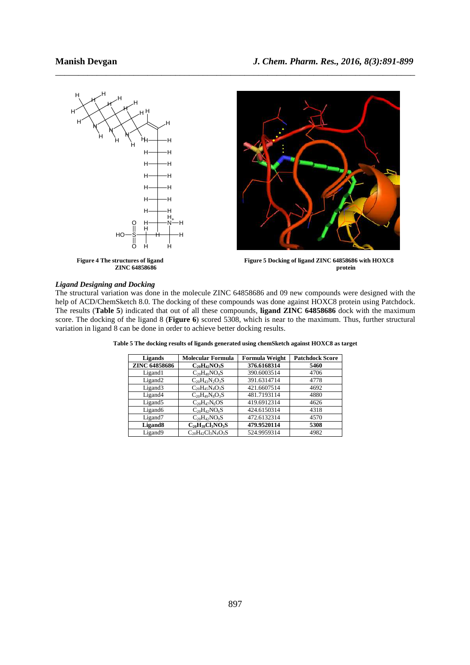

\_\_\_\_\_\_\_\_\_\_\_\_\_\_\_\_\_\_\_\_\_\_\_\_\_\_\_\_\_\_\_\_\_\_\_\_\_\_\_\_\_\_\_\_\_\_\_\_\_\_\_\_\_\_\_\_\_\_\_\_\_\_\_\_\_\_\_\_\_\_\_\_\_\_\_\_\_\_

# *Ligand Designing and Docking*

The structural variation was done in the molecule ZINC 64858686 and 09 new compounds were designed with the help of ACD/ChemSketch 8.0. The docking of these compounds was done against HOXC8 protein using Patchdock. The results (**Table 5**) indicated that out of all these compounds, **ligand ZINC 64858686** dock with the maximum score. The docking of the ligand 8 (**Figure 6**) scored 5308, which is near to the maximum. Thus, further structural variation in ligand 8 can be done in order to achieve better docking results.

| Ligands              | Molecular Formula         | <b>Formula Weight</b> | <b>Patchdock Score</b> |
|----------------------|---------------------------|-----------------------|------------------------|
| <b>ZINC 64858686</b> | $C_{20}H_{42}NO_3S$       | 376.6168314           | 5460                   |
| Ligand1              | $C_{20}H_{40}NO_4S$       | 390.6003514           | 4706                   |
| Ligand <sub>2</sub>  | $C_{20}H_{43}N_{2}O_{3}S$ | 391.6314714           | 4778                   |
| Ligand3              | $C_{20}H_{45}N_{4}O_{3}S$ | 421.6607514           | 4692                   |
| Ligand4              | $C_{20}H_{49}N_8O_3S$     | 481.7193114           | 4880                   |
| Ligand <sub>5</sub>  | $C_{20}H_{47}N_6OS$       | 419.6912314           | 4626                   |
| Ligand <sub>6</sub>  | $C_{20}H_{42}NO_6S$       | 424.6150314           | 4318                   |
| Ligand <sub>7</sub>  | $C_{20}H_{42}NO_9S$       | 472.6132314           | 4570                   |
| Ligand <sub>8</sub>  | $C_{20}H_{39}Cl_3NO_3S$   | 479.9520114           | 5308                   |
| Ligand9              | $C_{20}H_{42}Cl_3N_4O_3S$ | 524.9959314           | 4982                   |

**Table 5 The docking results of ligands generated using chemSketch against HOXC8 as target**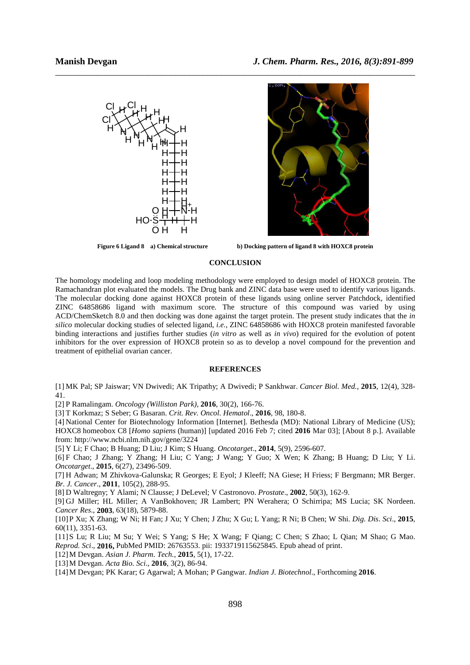



**Figure 6 Ligand 8 a) Chemical structure b) Docking pattern of ligand 8 with HOXC8 protein** 

# **CONCLUSION**

The homology modeling and loop modeling methodology were employed to design model of HOXC8 protein. The Ramachandran plot evaluated the models. The Drug bank and ZINC data base were used to identify various ligands. The molecular docking done against HOXC8 protein of these ligands using online server Patchdock, identified ZINC 64858686 ligand with maximum score. The structure of this compound was varied by using ACD/ChemSketch 8.0 and then docking was done against the target protein. The present study indicates that the *in silico* molecular docking studies of selected ligand, *i.e*., ZINC 64858686 with HOXC8 protein manifested favorable binding interactions and justifies further studies (*in vitro* as well as *in vivo*) required for the evolution of potent inhibitors for the over expression of HOXC8 protein so as to develop a novel compound for the prevention and treatment of epithelial ovarian cancer.

# **REFERENCES**

[1] MK Pal; SP Jaiswar; VN Dwivedi; AK Tripathy; A Dwivedi; P Sankhwar. *Cancer Biol. Med.*, **2015**, 12(4), 328- 41.

[2] P Ramalingam. *Oncology (Williston Park),* **2016**, 30(2), 166-76.

[3] T Korkmaz; S Seber; G Basaran. *Crit. Rev. Oncol. Hematol*., **2016**, 98, 180-8.

[4] National Center for Biotechnology Information [Internet]. Bethesda (MD): National Library of Medicine (US); HOXC8 homeobox C8 [*Homo sapiens* (human)] [updated 2016 Feb 7; cited **2016** Mar 03]; [About 8 p.]. Available from: http://www.ncbi.nlm.nih.gov/gene/3224

[5] Y Li; F Chao; B Huang; D Liu; J Kim; S Huang. *Oncotarget*., **2014**, 5(9), 2596-607.

[6] F Chao; J Zhang; Y Zhang; H Liu; C Yang; J Wang; Y Guo; X Wen; K Zhang; B Huang; D Liu; Y Li. *Oncotarget*., **2015**, 6(27), 23496-509.

[7] H Adwan; M Zhivkova-Galunska; R Georges; E Eyol; J Kleeff; NA Giese; H Friess; F Bergmann; MR Berger. *Br. J. Cancer*., **2011**, 105(2), 288-95.

[8] D Waltregny; Y Alami; N Clausse; J DeLevel; V Castronovo. *Prostate*., **2002**, 50(3), 162-9.

[9] GJ Miller; HL Miller; A VanBokhoven; JR Lambert; PN Werahera; O Schirripa; MS Lucia; SK Nordeen. *Cancer Res*., **2003**, 63(18), 5879-88.

[10]P Xu; X Zhang; W Ni; H Fan; J Xu; Y Chen; J Zhu; X Gu; L Yang; R Ni; B Chen; W Shi. *Dig. Dis. Sci*., **2015**, 60(11), 3351-63.

[11]S Lu; R Liu; M Su; Y Wei; S Yang; S He; X Wang; F Qiang; C Chen; S Zhao; L Qian; M Shao; G Mao. *Reprod. Sci*., **2016,** PubMed PMID: 26763553. pii: 1933719115625845. Epub ahead of print.

[12]M Devgan. *Asian J. Pharm. Tech.*, **2015**, 5(1), 17-22.

[13]M Devgan. *Acta Bio. Sci*., **2016**, 3(2), 86-94.

[14]M Devgan; PK Karar; G Agarwal; A Mohan; P Gangwar. *Indian J. Biotechnol*., Forthcoming **2016**.